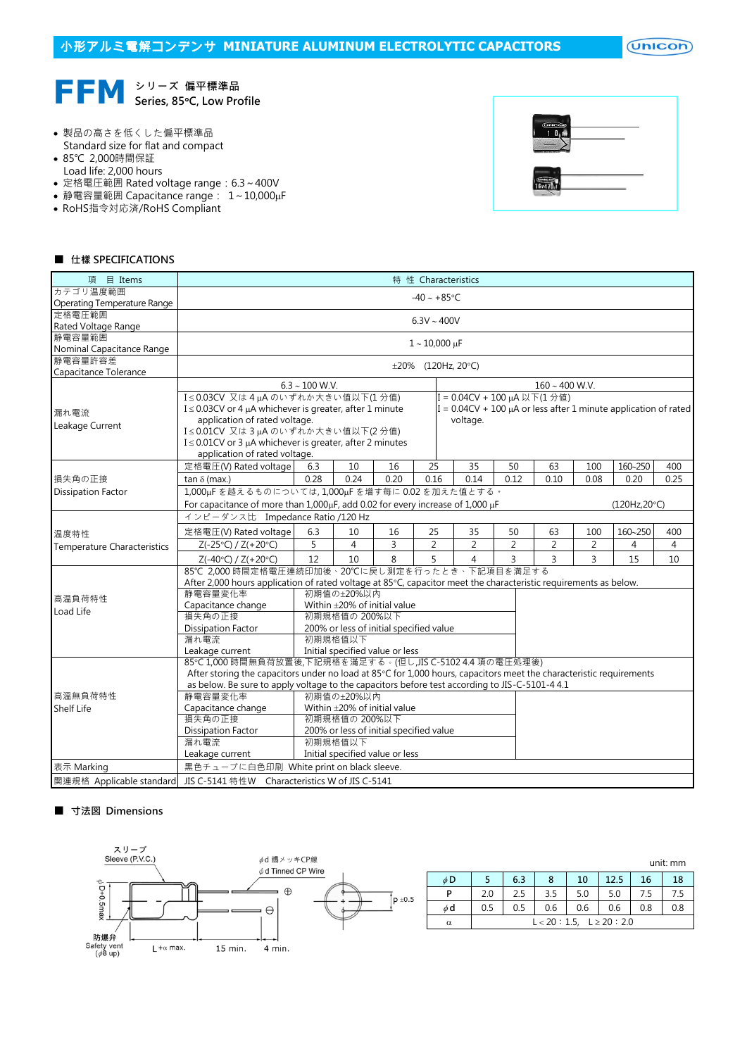$($ Unicon $)$ 



- 製品の高さを低くした偏平標準品 Standard size for flat and compact
- 85℃ 2,000時間保証
- Load life: 2,000 hours
- 定格電圧範囲 Rated voltage range: 6.3~400V
- 静電容量範囲 Capacitance range: 1~10,000µF
- RoHS指令対応済/RoHS Compliant



## ■ 仕樣 SPECIFICATIONS

| 項 目 Items                          | 特 性 Characteristics                                                                                                                                                           |                                                               |                                         |                     |                      |  |                          |                |                |                                                                      |         |                |  |  |
|------------------------------------|-------------------------------------------------------------------------------------------------------------------------------------------------------------------------------|---------------------------------------------------------------|-----------------------------------------|---------------------|----------------------|--|--------------------------|----------------|----------------|----------------------------------------------------------------------|---------|----------------|--|--|
| カテゴリ温度範囲                           | $-40 \sim +85$ °C                                                                                                                                                             |                                                               |                                         |                     |                      |  |                          |                |                |                                                                      |         |                |  |  |
| Operating Temperature Range        |                                                                                                                                                                               |                                                               |                                         |                     |                      |  |                          |                |                |                                                                      |         |                |  |  |
| 定格電圧範囲                             | $6.3V \sim 400V$                                                                                                                                                              |                                                               |                                         |                     |                      |  |                          |                |                |                                                                      |         |                |  |  |
| Rated Voltage Range                |                                                                                                                                                                               |                                                               |                                         |                     |                      |  |                          |                |                |                                                                      |         |                |  |  |
| 静電容量範囲                             |                                                                                                                                                                               |                                                               |                                         |                     | $1 - 10,000 \,\mu F$ |  |                          |                |                |                                                                      |         |                |  |  |
| Nominal Capacitance Range          |                                                                                                                                                                               |                                                               |                                         |                     |                      |  |                          |                |                |                                                                      |         |                |  |  |
| 静電容量許容差                            |                                                                                                                                                                               |                                                               |                                         |                     |                      |  | $\pm 20\%$ (120Hz, 20°C) |                |                |                                                                      |         |                |  |  |
| Capacitance Tolerance              |                                                                                                                                                                               |                                                               |                                         |                     |                      |  |                          |                |                |                                                                      |         |                |  |  |
|                                    |                                                                                                                                                                               | $6.3 \sim 100$ W.V.                                           |                                         | $160 \sim 400$ W.V. |                      |  |                          |                |                |                                                                      |         |                |  |  |
|                                    | I≤0.03CV 又は4uAのいずれか大きい値以下(1分値)                                                                                                                                                |                                                               | I = 0.04CV + 100 µA 以下(1分値)             |                     |                      |  |                          |                |                |                                                                      |         |                |  |  |
| 漏れ電流                               |                                                                                                                                                                               | $I \leq 0.03$ CV or 4 µA whichever is greater, after 1 minute |                                         |                     |                      |  |                          |                |                | I = $0.04CV + 100 \mu A$ or less after 1 minute application of rated |         |                |  |  |
| Leakage Current                    | application of rated voltage.                                                                                                                                                 |                                                               |                                         |                     |                      |  |                          |                |                |                                                                      |         |                |  |  |
|                                    | voltage.<br>I≤0.01CV 又は3µAのいずれか大きい値以下(2分値)                                                                                                                                    |                                                               |                                         |                     |                      |  |                          |                |                |                                                                      |         |                |  |  |
|                                    | $I \leq 0.01$ CV or 3 µA whichever is greater, after 2 minutes                                                                                                                |                                                               |                                         |                     |                      |  |                          |                |                |                                                                      |         |                |  |  |
|                                    | application of rated voltage.                                                                                                                                                 |                                                               |                                         |                     |                      |  |                          |                |                |                                                                      |         |                |  |  |
|                                    | 定格電圧(V) Rated voltage                                                                                                                                                         | 6.3                                                           | 10                                      | 16                  | 25                   |  | 35                       | 50             | 63             | 100                                                                  | 160~250 | 400            |  |  |
| 損失角の正接                             | tan $\delta$ (max.)                                                                                                                                                           | 0.28                                                          | 0.24                                    | 0.20                | 0.16                 |  | 0.14                     | 0.12           | 0.10           | 0.08                                                                 | 0.20    | 0.25           |  |  |
| <b>Dissipation Factor</b>          | 1,000µFを越えるものについては,1,000µFを増す每に0.02を加えた値とする。                                                                                                                                  |                                                               |                                         |                     |                      |  |                          |                |                |                                                                      |         |                |  |  |
|                                    | For capacitance of more than 1,000µF, add 0.02 for every increase of 1,000 µF<br>(120Hz,20°C)                                                                                 |                                                               |                                         |                     |                      |  |                          |                |                |                                                                      |         |                |  |  |
|                                    | インピーダンス比 Impedance Ratio /120 Hz                                                                                                                                              |                                                               |                                         |                     |                      |  |                          |                |                |                                                                      |         |                |  |  |
|                                    | 定格電圧(V) Rated voltage                                                                                                                                                         | 6.3                                                           | 10                                      | 16                  | 25                   |  | 35                       | 50             | 63             | 100                                                                  | 160~250 | 400            |  |  |
| 温度特性                               | $Z(-25°C) / Z(+20°C)$                                                                                                                                                         | 5                                                             | $\overline{4}$                          | 3                   | $\overline{2}$       |  | $\overline{2}$           | $\overline{2}$ | $\overline{2}$ | $\overline{2}$                                                       | 4       | $\overline{4}$ |  |  |
| <b>Temperature Characteristics</b> |                                                                                                                                                                               |                                                               | 10                                      |                     |                      |  | 4                        | 3              |                | $\overline{3}$                                                       |         |                |  |  |
|                                    | $Z(-40°C) / Z(+20°C)$                                                                                                                                                         | 12                                                            |                                         | 8                   | 5                    |  |                          |                | $\overline{3}$ |                                                                      | 15      | 10             |  |  |
|                                    | 85℃ 2,000 時間定格電圧連続印加後、20℃に戻し測定を行ったとき、下記項目を満足する                                                                                                                                |                                                               |                                         |                     |                      |  |                          |                |                |                                                                      |         |                |  |  |
|                                    | After 2,000 hours application of rated voltage at 85°C, capacitor meet the characteristic requirements as below.<br>静電容量変化率<br>初期值の±20%以内                                     |                                                               |                                         |                     |                      |  |                          |                |                |                                                                      |         |                |  |  |
| 高温負荷特性                             |                                                                                                                                                                               |                                                               |                                         |                     |                      |  |                          |                |                |                                                                      |         |                |  |  |
| Load Life                          | Capacitance change<br>損失角の正接                                                                                                                                                  |                                                               |                                         |                     |                      |  |                          |                |                |                                                                      |         |                |  |  |
|                                    | <b>Dissipation Factor</b>                                                                                                                                                     |                                                               |                                         |                     |                      |  |                          |                |                |                                                                      |         |                |  |  |
|                                    | 漏れ電流                                                                                                                                                                          |                                                               | 200% or less of initial specified value |                     |                      |  |                          |                |                |                                                                      |         |                |  |  |
|                                    | 初期規格值以下<br>Initial specified value or less<br>Leakage current                                                                                                                 |                                                               |                                         |                     |                      |  |                          |                |                |                                                                      |         |                |  |  |
|                                    |                                                                                                                                                                               |                                                               |                                         |                     |                      |  |                          |                |                |                                                                      |         |                |  |  |
|                                    | 85℃1,000時間無負荷放置後,下記規格を滿足する。(但し,JIS C-5102 4.4 項の電圧処理後)<br>After storing the capacitors under no load at 85°C for 1,000 hours, capacitors meet the characteristic requirements |                                                               |                                         |                     |                      |  |                          |                |                |                                                                      |         |                |  |  |
|                                    | as below. Be sure to apply voltage to the capacitors before test according to JIS-C-5101-4 4.1                                                                                |                                                               |                                         |                     |                      |  |                          |                |                |                                                                      |         |                |  |  |
| 高溫無負荷特性                            | 静電容量変化率                                                                                                                                                                       |                                                               | 初期值の±20%以内                              |                     |                      |  |                          |                |                |                                                                      |         |                |  |  |
| Shelf Life                         | Capacitance change<br>Within ±20% of initial value                                                                                                                            |                                                               |                                         |                     |                      |  |                          |                |                |                                                                      |         |                |  |  |
|                                    | 損失角の正接                                                                                                                                                                        |                                                               | 初期規格值の 200%以下                           |                     |                      |  |                          |                |                |                                                                      |         |                |  |  |
|                                    | <b>Dissipation Factor</b>                                                                                                                                                     |                                                               | 200% or less of initial specified value |                     |                      |  |                          |                |                |                                                                      |         |                |  |  |
|                                    | 漏れ電流                                                                                                                                                                          |                                                               | 初期規格值以下                                 |                     |                      |  |                          |                |                |                                                                      |         |                |  |  |
|                                    | Leakage current                                                                                                                                                               |                                                               | Initial specified value or less         |                     |                      |  |                          |                |                |                                                                      |         |                |  |  |
| 表示 Marking                         | 黒色チューブに白色印刷 White print on black sleeve.                                                                                                                                      |                                                               |                                         |                     |                      |  |                          |                |                |                                                                      |         |                |  |  |
| 関連規格 Applicable standard           | JIS C-5141 特性W Characteristics W of JIS C-5141                                                                                                                                |                                                               |                                         |                     |                      |  |                          |                |                |                                                                      |         |                |  |  |
|                                    |                                                                                                                                                                               |                                                               |                                         |                     |                      |  |                          |                |                |                                                                      |         |                |  |  |

## ■ 寸法図 Dimensions